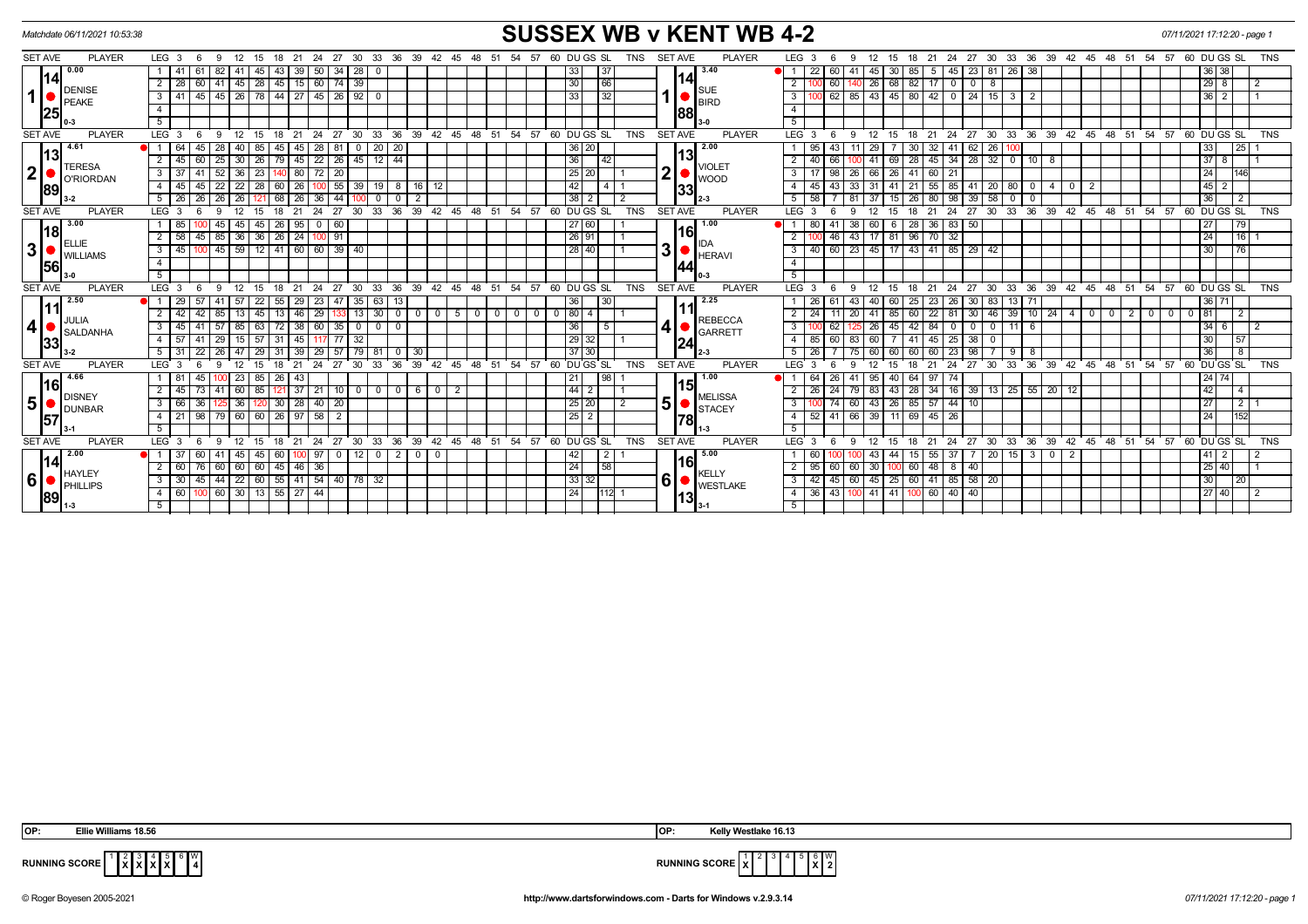| Matchdate 06/11/2021 10:53:38                |                                 |                                 |                                                 |                                    |                         |                |                                |                  |                            |                                                 |                              |                   |                                                                                                                                            |                                 |          |                  |                  |                |                |     | <b>SUSSEX WB v KENT WB 4-2</b> |                |                   |                            |          |                       |                       |                        |              |                  |                          |                         |                         |              |              |        | 07/11/2021 17:12:20 - page 1           |                |                  |                |
|----------------------------------------------|---------------------------------|---------------------------------|-------------------------------------------------|------------------------------------|-------------------------|----------------|--------------------------------|------------------|----------------------------|-------------------------------------------------|------------------------------|-------------------|--------------------------------------------------------------------------------------------------------------------------------------------|---------------------------------|----------|------------------|------------------|----------------|----------------|-----|--------------------------------|----------------|-------------------|----------------------------|----------|-----------------------|-----------------------|------------------------|--------------|------------------|--------------------------|-------------------------|-------------------------|--------------|--------------|--------|----------------------------------------|----------------|------------------|----------------|
| <b>SET AVE</b>                               | <b>PLAYER</b>                   | LEG <sub>3</sub>                | -9                                              | 12<br>15                           | 18 21                   |                |                                |                  | 24 27 30 33 36 39 42 45 48 |                                                 |                              |                   | - 51                                                                                                                                       | 54<br>57                        |          | 60 DU GS SL      |                  | <b>TNS</b>     | <b>SET AVE</b> |     | <b>PLAYER</b>                  |                | LEG <sub>3</sub>  |                            | 12       | - 15                  | 18 21                 | 24 27                  | 30           |                  |                          |                         |                         |              |              |        | 33 36 39 42 45 48 51 54 57 60 DU GS SL |                |                  | <b>TNS</b>     |
| 0.00                                         |                                 |                                 | 82<br>61                                        | 45<br>-41                          | 43   39                 |                | $50$ 34                        | 28<br>- 0        |                            |                                                 |                              |                   |                                                                                                                                            |                                 |          | 33 <sub>1</sub>  | 37               |                |                |     | 3.40                           |                | 22                | 60                         | 45       | $30^{\circ}$<br>85 I  | - 5                   | 45                     |              | 23 81 26 38      |                          |                         |                         |              |              |        |                                        | 36 38          |                  |                |
| 14                                           |                                 | $2 \mid 28 \mid$                | 60   41   45   28   45   15   60   74   39      |                                    |                         |                |                                |                  |                            |                                                 |                              |                   |                                                                                                                                            |                                 |          | 30               | 66               |                |                | 14  |                                | $\overline{2}$ |                   | 60                         | 40 26 68 |                       | $82$ 17 0             |                        | $0$ 8        |                  |                          |                         |                         |              |              |        |                                        | $29$   8       |                  | $\overline{2}$ |
| <b>DENISE</b><br>$\mathbf 1$<br><b>PEAKE</b> |                                 | 3   41                          | 45   45   26   78   44   27   45   26   92   0  |                                    |                         |                |                                |                  |                            |                                                 |                              |                   |                                                                                                                                            |                                 |          | 33 <sub>1</sub>  | 32               |                | $1  \bullet  $ |     | SUE<br>BIRD                    | 3 <sup>1</sup> |                   | 62 85                      |          |                       | 43 45 80 42 0 24 15 3 |                        |              | $\vert$ 2        |                          |                         |                         |              |              |        |                                        | $36$   2       |                  |                |
| 25                                           |                                 | $\overline{4}$                  |                                                 |                                    |                         |                |                                |                  |                            |                                                 |                              |                   |                                                                                                                                            |                                 |          |                  |                  |                |                | 88  |                                | $\overline{4}$ |                   |                            |          |                       |                       |                        |              |                  |                          |                         |                         |              |              |        |                                        |                |                  |                |
|                                              |                                 | 5                               |                                                 |                                    |                         |                |                                |                  |                            |                                                 |                              |                   |                                                                                                                                            |                                 |          |                  |                  |                |                |     |                                | 5              |                   |                            |          |                       |                       |                        |              |                  |                          |                         |                         |              |              |        |                                        |                |                  |                |
| <b>SET AVE</b>                               | <b>PLAYER</b>                   | $LEG$ 3                         | 9                                               | 12                                 |                         | 24<br>21       | 27                             | 30<br>$33^\circ$ | 36                         | 39                                              | $42^{\circ}$<br>$45^{\circ}$ | 48                | 51                                                                                                                                         | 54<br>57                        |          | 60 DUGS SL       |                  | <b>TNS</b>     | <b>SET AVE</b> |     | <b>PLAYER</b>                  |                | LEG <sub>3</sub>  | -9                         |          |                       |                       | 27<br>24               | $\cdot$ 30   | 33<br>36         |                          | 39 42 45                |                         | ີ 48         | 51<br>ີ 54   | 57     | 60 DUGS SL                             |                |                  | <b>TNS</b>     |
| 4.61                                         |                                 | ● 1<br>64                       | 45<br>28                                        | 40 l<br>85                         | 45                      | 45 I           | 28<br>81                       | $0$   20         | 20                         |                                                 |                              |                   |                                                                                                                                            |                                 |          | 36 20            |                  |                |                |     | 2.00                           |                | 1 95              |                            | 29       | 30 <sub>1</sub>       | 32                    | 41<br>62               | 26           |                  |                          |                         |                         |              |              |        | 33                                     |                | 25               |                |
| 113<br><b>TERESA</b>                         |                                 | $2 \mid 45 \mid$                | 60                                              | $25 \mid 30 \mid 26 \mid$          |                         |                | $79$ 45 22 26                  | $145$ 12 44      |                            |                                                 |                              |                   |                                                                                                                                            |                                 |          | 36               | $\overline{142}$ |                |                | 13  | <b>VIOLET</b>                  |                | $2 \mid 40$       | 66                         | 41       | 69                    |                       |                        |              |                  |                          |                         |                         |              |              |        |                                        | 378            |                  |                |
| $\boldsymbol{2}$                             | O'RIORDAN                       | $3 \mid 37$                     | 41<br>52                                        | $\overline{23}$<br>$\overline{36}$ |                         | $\sqrt{80}$    | $\overline{72}$<br>$\sqrt{20}$ |                  |                            |                                                 |                              |                   |                                                                                                                                            |                                 |          | 25 20            |                  |                | 2 <sup>1</sup> |     | <b>WOOD</b>                    |                | $3 \mid 17$       | 98<br>26                   | 66       | $\overline{26}$       | $41 \ 60 \ 21$        |                        |              |                  |                          |                         |                         |              |              |        | 24                                     |                | 146              |                |
| 89                                           |                                 | 4   45                          | 45<br>22                                        | $\overline{28}$<br>22              | $60$   26               |                | $100$ 55                       |                  | $39$ 19 8 16               |                                                 | 12                           |                   |                                                                                                                                            |                                 |          | 42               |                  |                |                | 33  |                                |                | 4   45            | 43<br>-33 I                | 31       | 41                    | $21 \mid 55$          |                        |              | 85 41 20 80 0    |                          | 400                     | $\overline{\mathbf{2}}$ |              |              |        | 45                                     | $\overline{2}$ |                  |                |
|                                              |                                 | 5   26                          | $\overline{26}$<br>26                           |                                    | 68                      | 26 I           | 36<br>44                       |                  |                            |                                                 |                              |                   |                                                                                                                                            |                                 |          | 38               |                  |                |                |     | $2 - 3$                        |                | 5   58            |                            |          | 26 I<br>15            | 80                    | 98<br>39               | 58           | - 0<br>$\Omega$  |                          |                         |                         |              |              |        | 36                                     |                | $\overline{2}$   |                |
| <b>SET AVE</b>                               | <b>PLAYER</b>                   | LEG <sub>3</sub>                | <b>Q</b>                                        | 12<br>15                           | 18                      | 24<br>21       | 27                             | 30               | 36<br>33                   | 39                                              | $42^{\circ}$<br>45           | 48                | 51                                                                                                                                         | 54<br>57                        |          | 60 DUGS SL       |                  | <b>TNS</b>     | <b>SET AVE</b> |     | <b>PLAYER</b>                  |                | LEG <sub>3</sub>  | 9                          | 12       | 15<br>18              | 21                    | 24<br>27               | 30           | 33               | 36 39                    | $42 \quad 45$           |                         | $48^{\circ}$ | ້ 51<br>ີ 54 | 57     | 60 DU GS SL                            |                |                  | <b>TNS</b>     |
| 3.00                                         |                                 | 1   85                          | 45                                              | 45<br>45 I                         | $26 \mid 95$            |                | $0$ 60                         |                  |                            |                                                 |                              |                   |                                                                                                                                            |                                 |          | l 27 I 60 I      |                  |                |                |     | 1.00                           |                | 1 80              | 41<br>38                   | 60       | $\overline{28}$<br>6  | 36                    | 83 50                  |              |                  |                          |                         |                         |              |              |        | 27                                     |                | $\overline{179}$ |                |
| 118                                          |                                 | $2 \mid 58$                     | 45                                              | 85 36 36                           | 26                      | $\sqrt{24}$    | 100 91                         |                  |                            |                                                 |                              |                   |                                                                                                                                            |                                 |          | 26 91            |                  |                |                | 16  |                                | $\overline{2}$ |                   | 46<br>43                   | 17       | 81                    | $96$ 70               | 32                     |              |                  |                          |                         |                         |              |              |        | 24                                     |                | 16               |                |
| $\mathbf 3$                                  | <b>ELLIE</b><br><b>WILLIAMS</b> | $3 \mid 45$                     | 00                                              |                                    | 45 59 12 41 60 60 39 40 |                |                                |                  |                            | IDA<br>3 <sup>1</sup><br>28 40<br><b>HERAVI</b> |                              | $3 \overline{40}$ | 60   23   45   17   43   41   85   29   42                                                                                                 |                                 |          |                  |                  |                |                |     |                                |                |                   |                            |          | 30                    |                       | $\overline{76}$        |              |                  |                          |                         |                         |              |              |        |                                        |                |                  |                |
| 156                                          |                                 | $\overline{4}$                  |                                                 |                                    |                         |                |                                |                  |                            |                                                 |                              |                   |                                                                                                                                            |                                 |          |                  |                  |                |                | 144 |                                | $\overline{4}$ |                   |                            |          |                       |                       |                        |              |                  |                          |                         |                         |              |              |        |                                        |                |                  |                |
|                                              |                                 | 5                               |                                                 |                                    |                         |                |                                |                  |                            |                                                 |                              |                   |                                                                                                                                            |                                 |          |                  |                  |                |                | 0-3 |                                | 5              |                   |                            |          |                       |                       |                        |              |                  |                          |                         |                         |              |              |        |                                        |                |                  |                |
| <b>SET AVE</b>                               | <b>PLAYER</b>                   | LEG <sub>3</sub>                | $\mathbf{q}$                                    | 12<br>15                           | 18                      | 21<br>24       | 27                             | 30<br>33         | $36^\circ$                 |                                                 |                              |                   |                                                                                                                                            | 39 42 45 48 51 54 57 60 DUGS SL |          |                  |                  | <b>TNS</b>     | <b>SET AVE</b> |     | <b>PLAYER</b>                  |                | LEG <sub>3</sub>  | -9                         | 12       | 18<br>15              | 21                    | 24<br>27               | $30^{\circ}$ |                  |                          |                         |                         |              |              |        | 33 36 39 42 45 48 51 54 57 60 DUGS SL  |                |                  | <b>TNS</b>     |
| 2.50                                         |                                 | $\vert 29 \vert$<br><b>DI</b> 1 | 57<br>-41                                       | $57$ 22                            | $55 \mid 29 \mid$       | 23             | 47                             | 35   63          | 13                         |                                                 |                              |                   |                                                                                                                                            |                                 |          | 36               | $ 30\rangle$     |                |                |     | 2.25                           |                | 1   26            | 61<br>43                   | 40       | 60                    | $25 \mid 23$          | 26<br>30               |              | 83   13   71     |                          |                         |                         |              |              |        |                                        | 36 71          |                  |                |
| 111<br>JULIA                                 |                                 | $\overline{2}$                  | 42<br>85                                        | 45                                 | 13   46                 |                | 29                             | 13 30            | $\overline{0}$             |                                                 |                              |                   | $\begin{array}{c c c c c c c c} \hline \multicolumn{3}{c }{\textbf{0} & \textbf{0}} & \multicolumn{3}{c }{\textbf{0}}\ \hline \end{array}$ |                                 | 0 0 80 4 |                  |                  |                |                |     | <b>REBECCA</b>                 |                | $2 \mid 24$       | 20                         | 41       | 85<br>60 I            | 22                    | 81<br>30               | 46 39        |                  | $10 \mid 24 \mid$        | 4 <sup>1</sup>          | $0$ 0                   |              |              | $2000$ | 81<br>$\mathbf 0$                      |                | $\sqrt{2}$       |                |
| $\overline{4}$                               | <b>SALDANHA</b>                 | 3<br>-45                        | 41<br>57                                        | 63                                 | 72 38                   | 60             | 35                             | $0$ 0            | $\Omega$                   |                                                 |                              |                   |                                                                                                                                            |                                 |          | 36               | l 5              |                | 41             |     | GARRETT                        | 3 <sup>1</sup> |                   | 62                         | 26       | 45<br>42 <sub>1</sub> | 84                    | $\Omega$<br>$^{\circ}$ | $\circ$ 1    | $11$ 6           |                          |                         |                         |              |              |        | 34                                     | $6 \mid$       |                  | $\overline{2}$ |
| 33                                           |                                 | $\overline{4}$<br>l 57          | 41<br>29                                        | 57                                 | 31                      | 45             | 77                             | 32               |                            |                                                 |                              |                   |                                                                                                                                            |                                 |          | $29$ 32          |                  |                |                | 24  |                                |                | $4 \mid 85$       | 60<br>83                   | 60       |                       | 45                    | 25<br>38               | $\mathbf{0}$ |                  |                          |                         |                         |              |              |        |                                        | 30             | 57               |                |
|                                              |                                 | 5                               | 22                                              | 29                                 |                         |                | 29<br>57                       | 79 I             | 81<br>$^{\circ}$           | 30                                              |                              |                   |                                                                                                                                            |                                 |          | 37 30            |                  |                |                |     | 2-3                            |                | 26                |                            | 60       | 60                    |                       | 23<br>98               |              | - 9<br>8         |                          |                         |                         |              |              |        | 36                                     |                | 8                |                |
| <b>SET AVE</b>                               | <b>PLAYER</b>                   | LEG <sub>3</sub>                |                                                 |                                    |                         | 21             | 27                             | 30               | 36<br>33                   | 39                                              | 42<br>45                     | 48                | 51                                                                                                                                         | 54<br>57                        |          | 60 DU GS SL      |                  | <b>TNS</b>     | <b>SET AVE</b> |     | <b>PLAYER</b>                  |                | LEG <sub>3</sub>  |                            |          |                       |                       | 24<br>27               | 30           | 36<br>33         | 39                       | 42                      | 45 48                   |              | 54<br>51     | 57     | $60$ DU GS SL                          |                |                  | <b>TNS</b>     |
| 4.66                                         |                                 | l 81                            | 45                                              | 23   85                            | 26 43                   |                |                                |                  |                            |                                                 |                              |                   |                                                                                                                                            |                                 |          | 21               |                  |                |                | 15  | 1.00                           |                | 1 64              | <b>26</b><br>41            | 95       | 40                    | 64 97                 | -74                    |              |                  |                          |                         |                         |              |              |        |                                        | 24 74          |                  |                |
| l16l<br><b>DISNEY</b>                        |                                 | 2   45                          | 73                                              | 85<br>60 I                         |                         | 21<br>37       | 10 <sup>1</sup>                | $0$ 0            | $\mathbf 0$                | 6                                               | $\overline{0}$<br>2          |                   |                                                                                                                                            |                                 |          | 44   2           |                  |                |                |     | <b>MELISSA</b>                 | 2 <sup>1</sup> | 26                | 24<br>  79                 | 83       | 43<br>28              | 34                    | 16                     |              | $39$ 13 25 55 20 |                          | 12                      |                         |              |              |        | 42                                     |                | $\overline{4}$   |                |
| 5 <sub>l</sub><br><b>DUNBAR</b>              |                                 | $\mathbf{3}$<br>I 66            | 36                                              | 36 <sup>1</sup><br>120             | $30 \mid 28 \mid$       |                | $140$   20                     |                  |                            |                                                 |                              |                   |                                                                                                                                            |                                 |          | 25 20            |                  | $\overline{2}$ | 5 <sup>1</sup> |     | STACEY                         | 3 <sup>1</sup> |                   | 74 60                      | 43       | 26                    | 85 57 44              | 10                     |              |                  |                          |                         |                         |              |              |        | 27                                     |                | 2 <sub>1</sub>   |                |
| 57                                           |                                 | 4   21                          | 98                                              | 79   60   60                       | $26 \mid 97$            |                | 58<br>$\overline{2}$           |                  |                            |                                                 |                              |                   |                                                                                                                                            |                                 |          | $25 \mid 2 \mid$ |                  |                |                | 78  |                                |                | $4 \overline{52}$ | 41 66                      | 39       | 11                    | 69 45<br>26           |                        |              |                  |                          |                         |                         |              |              |        | 24                                     |                | 152              |                |
|                                              |                                 | -5                              |                                                 |                                    |                         |                |                                |                  |                            |                                                 |                              |                   |                                                                                                                                            |                                 |          |                  |                  |                |                |     |                                | 5 <sup>5</sup> |                   |                            |          |                       |                       |                        |              |                  |                          |                         |                         |              |              |        |                                        |                |                  |                |
| <b>SET AVE</b>                               | <b>PLAYER</b>                   | LEG <sub>3</sub>                | $\mathbf{q}$                                    | 12<br>15                           | 18                      | 24<br>21       | 27                             |                  | ່ 30 ່ 33 ່ 36 ່           | $\overline{39}$ 42                              | ີ 45 ີ                       |                   | ່ 48 ່ 51                                                                                                                                  | 54<br>$\overline{57}$           |          | 60 DU GS SL      |                  | <b>TNS</b>     | <b>SET AVE</b> |     | <b>PLAYER</b>                  |                | LEG <sub>3</sub>  | -9                         | 12       | 15<br>18              | 21                    | 24<br>27               | $30^{\circ}$ |                  |                          | 33 36 39 42 45 48 51 54 |                         |              |              |        | $5760$ DUGS SL                         |                |                  | <b>TNS</b>     |
| 2.00<br>14                                   |                                 |                                 | 60                                              | 45   45                            | 60                      |                | .971<br>$\mathbf 0$            | $12$ 0           | $\overline{2}$             | $\circ$ 1                                       | $\overline{0}$               |                   |                                                                                                                                            |                                 |          | 42               | $\overline{2}$   |                |                | 16  | 5.00                           |                | 1 60              |                            | 43       | 44<br>15 I            | 55                    | 37                     |              | $20$   15   3    | $\overline{\phantom{0}}$ | $\overline{2}$          |                         |              |              |        |                                        | 41  2          |                  | 2              |
| <b>HAYLEY</b>                                |                                 | 2   60                          | 76 60 60 60                                     |                                    |                         | $45$   46   36 |                                |                  |                            |                                                 |                              |                   |                                                                                                                                            |                                 |          | 24               | $\sqrt{58}$      |                |                |     | <b>KELLY</b>                   |                | $2 \mid 95 \mid$  | 60 60                      | 30       |                       | 60 48<br>l 8          | $\overline{140}$       |              |                  |                          |                         |                         |              |              |        |                                        | 25 40          |                  |                |
| 6<br>PHILLIPS                                |                                 | $3 \mid 30 \mid$                | 45   44   22   60   55   41   54   40   78   32 |                                    |                         |                |                                |                  |                            |                                                 |                              |                   |                                                                                                                                            |                                 |          | 33 32            |                  |                | -61            |     | <b>WESTLAKE</b>                |                | $3 \mid 42 \mid$  | 45 60 45 25 60 41 85 58 20 |          |                       |                       |                        |              |                  |                          |                         |                         |              |              |        | 30                                     |                | 20               |                |
| 189                                          |                                 | $4 \mid 60$                     | 100 60 30 13 55 27 44                           |                                    |                         |                |                                |                  |                            |                                                 |                              |                   |                                                                                                                                            |                                 |          | 24               | <b>1112</b>      |                |                | 13  |                                |                | 4 36              | 43 100 41 41 100 60 40 40  |          |                       |                       |                        |              |                  |                          |                         |                         |              |              |        |                                        | 27   40        |                  | $\overline{2}$ |
|                                              |                                 |                                 |                                                 |                                    |                         |                |                                |                  |                            |                                                 |                              |                   |                                                                                                                                            |                                 |          |                  |                  |                |                |     |                                | 5              |                   |                            |          |                       |                       |                        |              |                  |                          |                         |                         |              |              |        |                                        |                |                  |                |

**X X X X** W



**RUNNING SCORE** 

© Roger Boyesen 2005-2021 **http://www.dartsforwindows.com - Darts for Windows v.2.9.3.14** *07/11/2021 17:12:20 - page 1*